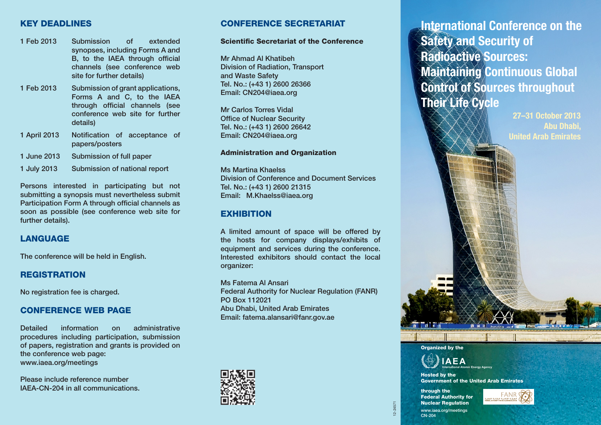# **KEY DEADLINES**

- **1 Feb 2013 Submission of extended synopses, including Forms A and B**, to the IAEA through official **channels (see conference web site for further details)**
- **1 Feb 2013 Submission of grant applications, Forms A and C, to the IAEA**  through official channels (see **conference web site for further details)**
- 1 April 2013 Notification of acceptance of **papers/posters**
- **1 June 2013 Submission of full paper**
- **1 July 2013 Submission of national report**

**Persons interested in participating but not submitting a synopsis must nevertheless submit Participation Form A through official channels as soon as possible (see conference web site for further details).**

# **LANGUAGE**

**The conference will be held in English.**

### **REGISTRATION**

**No registration fee is charged.** 

### **CONFERENCE WEB PAGE**

**Detailed information on administrative procedures including participation, submission of papers, registration and grants is provided on the conference web page: www.iaea.org/meetings**

**Please include reference number IAEA-CN-204 in all communications.**

# **CONFERENCE SECRETARIAT**

#### **Scientific Secretariat of the Conference**

**Mr Ahmad Al Khatibeh Division of Radiation, Transport and Waste Safety Tel. No.: (+43 1) 2600 26366 Email: CN204@iaea.org** 

**Mr Carlos Torres Vidal Office of Nuclear Security Tel. No.: (+43 1) 2600 26642 Email: CN204@iaea.org** 

#### **Administration and Organization**

**Ms Martina Khaelss Division of Conference and Document Services Tel. No.: (+43 1) 2600 21315 Email: M.Khaelss@iaea.org**

### **EXHIBITION**

**A limited amount of space will be offered by the hosts for company displays/exhibits of equipment and services during the conference. Interested exhibitors should contact the local organizer:**

**Ms Fatema Al Ansari Federal Authority for Nuclear Regulation (FANR) PO Box 112021 Abu Dhabi, United Arab Emirates Email: fatema.alansari@fanr.gov.ae**



**International Conference on the Safety and Security of Radioactive Sources: Maintaining Continuous Global Control of Sources throughout Their Life Cycle**

> **27–31 October 2013 Abu Dhabi, United Arab Emirates**





**Hosted by the Government of the United Arab Emirates**

**through the Federal Authority for Nuclear Regulation**



**www.iaea.org/meetings CN-204**



12-24571